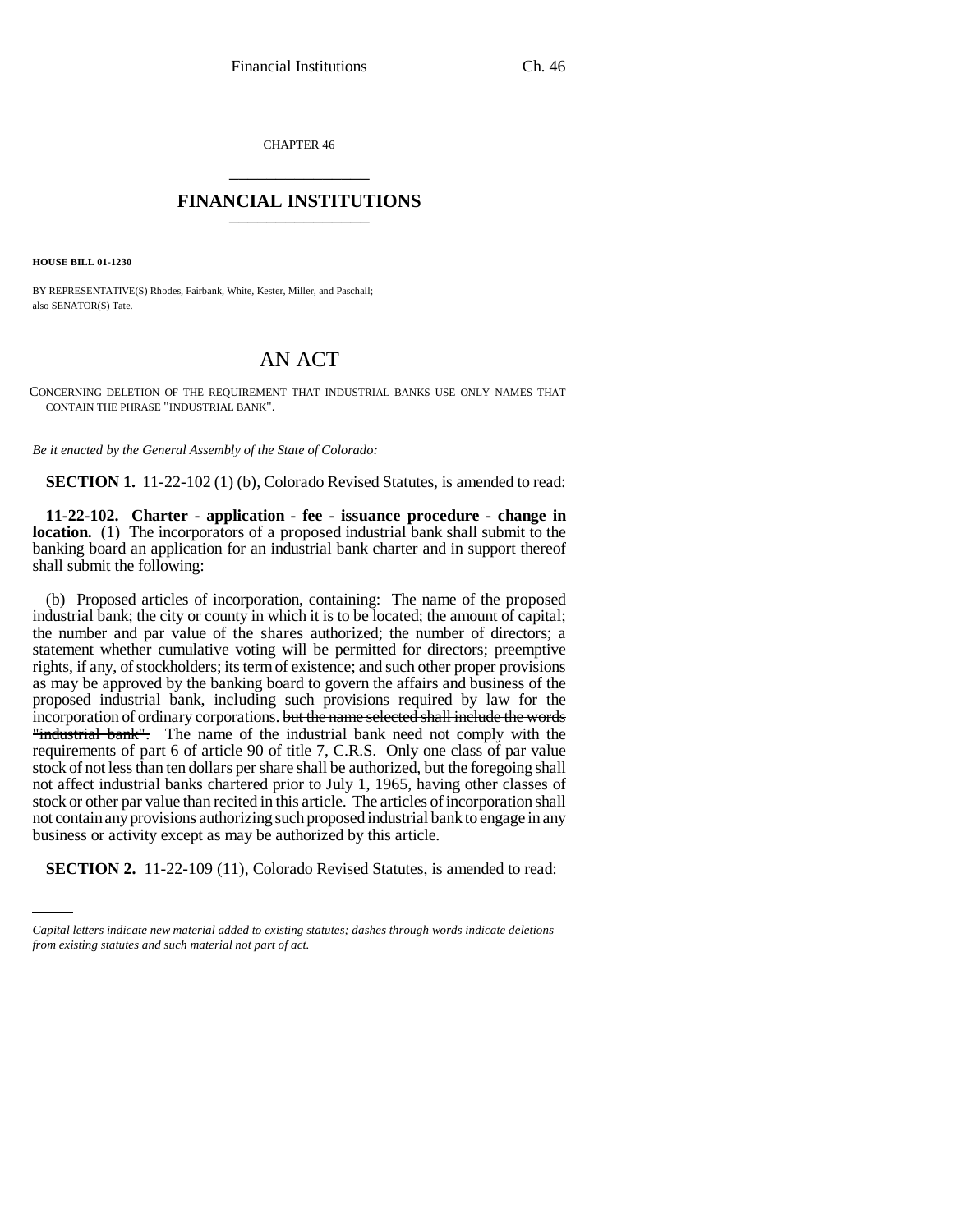CHAPTER 46 \_\_\_\_\_\_\_\_\_\_\_\_\_\_\_

## **FINANCIAL INSTITUTIONS** \_\_\_\_\_\_\_\_\_\_\_\_\_\_\_

**HOUSE BILL 01-1230**

BY REPRESENTATIVE(S) Rhodes, Fairbank, White, Kester, Miller, and Paschall; also SENATOR(S) Tate.

## AN ACT

CONCERNING DELETION OF THE REQUIREMENT THAT INDUSTRIAL BANKS USE ONLY NAMES THAT CONTAIN THE PHRASE "INDUSTRIAL BANK".

*Be it enacted by the General Assembly of the State of Colorado:*

**SECTION 1.** 11-22-102 (1) (b), Colorado Revised Statutes, is amended to read:

**11-22-102. Charter - application - fee - issuance procedure - change in location.** (1) The incorporators of a proposed industrial bank shall submit to the banking board an application for an industrial bank charter and in support thereof shall submit the following:

business or activity except as may be authorized by this article. (b) Proposed articles of incorporation, containing: The name of the proposed industrial bank; the city or county in which it is to be located; the amount of capital; the number and par value of the shares authorized; the number of directors; a statement whether cumulative voting will be permitted for directors; preemptive rights, if any, of stockholders; its term of existence; and such other proper provisions as may be approved by the banking board to govern the affairs and business of the proposed industrial bank, including such provisions required by law for the incorporation of ordinary corporations. but the name selected shall include the words "industrial bank". The name of the industrial bank need not comply with the requirements of part 6 of article 90 of title 7, C.R.S. Only one class of par value stock of not less than ten dollars per share shall be authorized, but the foregoing shall not affect industrial banks chartered prior to July 1, 1965, having other classes of stock or other par value than recited in this article. The articles of incorporation shall not contain any provisions authorizing such proposed industrial bank to engage in any

**SECTION 2.** 11-22-109 (11), Colorado Revised Statutes, is amended to read:

*Capital letters indicate new material added to existing statutes; dashes through words indicate deletions from existing statutes and such material not part of act.*